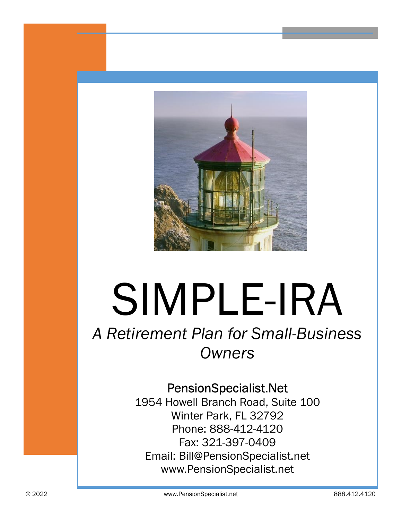

# SIMPLE-IRA

# A Retirement Plan for Small-Business **Owners**

## PensionSpecialist.Net

1954 Howell Branch Road, Suite 100 Winter Park, FL 32792 Phone: 888-412-4120 Fax: 321-397-0409 Email: Bill@PensionSpecialist.net www.PensionSpecialist.net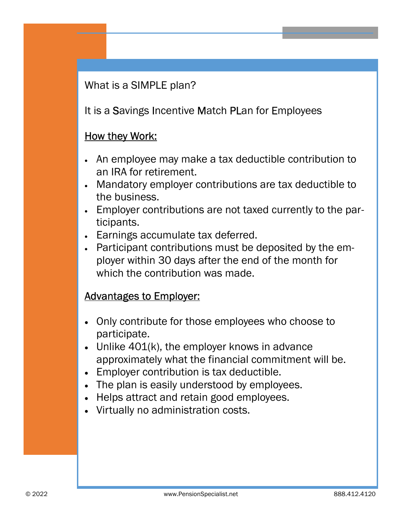What is a SIMPLE plan?

It is a Savings Incentive Match PLan for Employees

#### How they Work:

- · An employee may make a tax deductible contribution to an IRA for retirement.
- · Mandatory employer contributions are tax deductible to the business.
- · Employer contributions are not taxed currently to the participants.
- · Earnings accumulate tax deferred.
- · Participant contributions must be deposited by the employer within 30 days after the end of the month for which the contribution was made.

#### Advantages to Employer:

- · Only contribute for those employees who choose to participate.
- · Unlike 401(k), the employer knows in advance approximately what the financial commitment will be.
- · Employer contribution is tax deductible.
- · The plan is easily understood by employees.
- · Helps attract and retain good employees.
- · Virtually no administration costs.